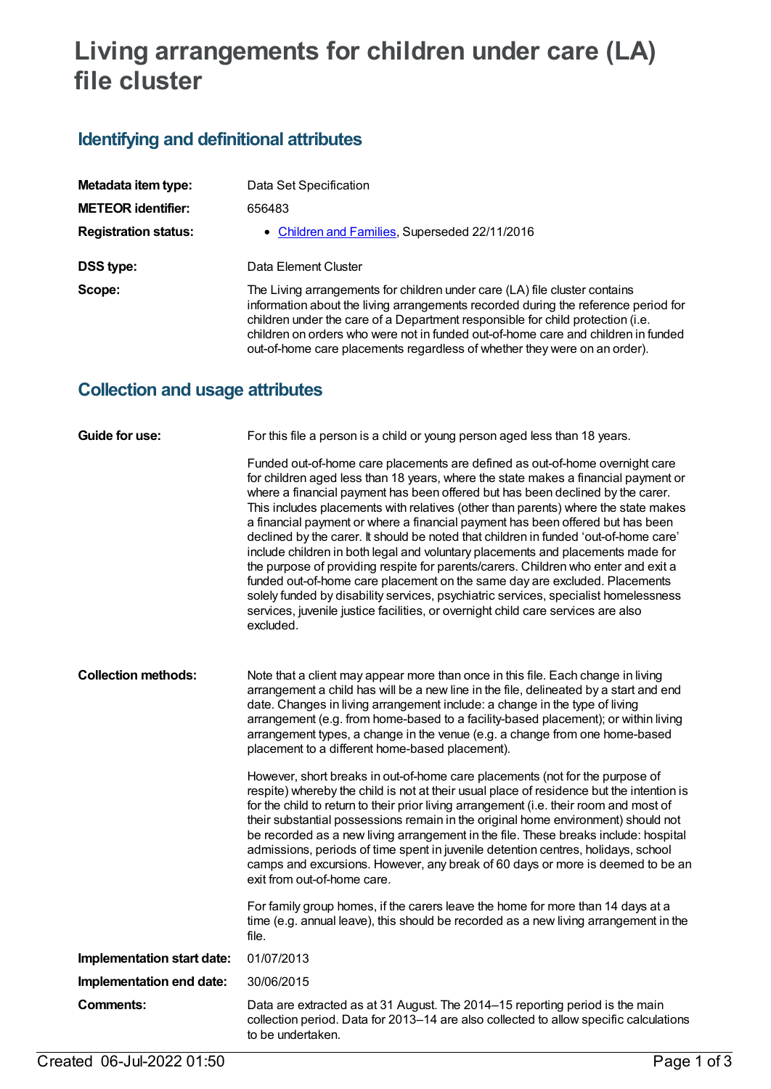# **Living arrangements for children under care (LA) file cluster**

# **Identifying and definitional attributes**

| Metadata item type:         | Data Set Specification                                                                                                                                                                                                                                                                                                                                                                                               |
|-----------------------------|----------------------------------------------------------------------------------------------------------------------------------------------------------------------------------------------------------------------------------------------------------------------------------------------------------------------------------------------------------------------------------------------------------------------|
| <b>METEOR identifier:</b>   | 656483                                                                                                                                                                                                                                                                                                                                                                                                               |
| <b>Registration status:</b> | • Children and Families, Superseded 22/11/2016                                                                                                                                                                                                                                                                                                                                                                       |
| <b>DSS type:</b>            | Data Element Cluster                                                                                                                                                                                                                                                                                                                                                                                                 |
| Scope:                      | The Living arrangements for children under care (LA) file cluster contains<br>information about the living arrangements recorded during the reference period for<br>children under the care of a Department responsible for child protection (i.e.<br>children on orders who were not in funded out-of-home care and children in funded<br>out-of-home care placements regardless of whether they were on an order). |

### **Collection and usage attributes**

| <b>Guide for use:</b>      | For this file a person is a child or young person aged less than 18 years.                                                                                                                                                                                                                                                                                                                                                                                                                                                                                                                                                                                                                                                                                                                                                                                                                                                                                          |
|----------------------------|---------------------------------------------------------------------------------------------------------------------------------------------------------------------------------------------------------------------------------------------------------------------------------------------------------------------------------------------------------------------------------------------------------------------------------------------------------------------------------------------------------------------------------------------------------------------------------------------------------------------------------------------------------------------------------------------------------------------------------------------------------------------------------------------------------------------------------------------------------------------------------------------------------------------------------------------------------------------|
|                            | Funded out-of-home care placements are defined as out-of-home overnight care<br>for children aged less than 18 years, where the state makes a financial payment or<br>where a financial payment has been offered but has been declined by the carer.<br>This includes placements with relatives (other than parents) where the state makes<br>a financial payment or where a financial payment has been offered but has been<br>declined by the carer. It should be noted that children in funded 'out-of-home care'<br>include children in both legal and voluntary placements and placements made for<br>the purpose of providing respite for parents/carers. Children who enter and exit a<br>funded out-of-home care placement on the same day are excluded. Placements<br>solely funded by disability services, psychiatric services, specialist homelessness<br>services, juvenile justice facilities, or overnight child care services are also<br>excluded. |
| <b>Collection methods:</b> | Note that a client may appear more than once in this file. Each change in living<br>arrangement a child has will be a new line in the file, delineated by a start and end<br>date. Changes in living arrangement include: a change in the type of living<br>arrangement (e.g. from home-based to a facility-based placement); or within living<br>arrangement types, a change in the venue (e.g. a change from one home-based<br>placement to a different home-based placement).                                                                                                                                                                                                                                                                                                                                                                                                                                                                                    |
|                            | However, short breaks in out-of-home care placements (not for the purpose of<br>respite) whereby the child is not at their usual place of residence but the intention is<br>for the child to return to their prior living arrangement (i.e. their room and most of<br>their substantial possessions remain in the original home environment) should not<br>be recorded as a new living arrangement in the file. These breaks include: hospital<br>admissions, periods of time spent in juvenile detention centres, holidays, school<br>camps and excursions. However, any break of 60 days or more is deemed to be an<br>exit from out-of-home care.                                                                                                                                                                                                                                                                                                                |
|                            | For family group homes, if the carers leave the home for more than 14 days at a<br>time (e.g. annual leave), this should be recorded as a new living arrangement in the<br>file.                                                                                                                                                                                                                                                                                                                                                                                                                                                                                                                                                                                                                                                                                                                                                                                    |
| Implementation start date: | 01/07/2013                                                                                                                                                                                                                                                                                                                                                                                                                                                                                                                                                                                                                                                                                                                                                                                                                                                                                                                                                          |
| Implementation end date:   | 30/06/2015                                                                                                                                                                                                                                                                                                                                                                                                                                                                                                                                                                                                                                                                                                                                                                                                                                                                                                                                                          |
| <b>Comments:</b>           | Data are extracted as at 31 August. The 2014-15 reporting period is the main<br>collection period. Data for 2013-14 are also collected to allow specific calculations<br>to be undertaken.                                                                                                                                                                                                                                                                                                                                                                                                                                                                                                                                                                                                                                                                                                                                                                          |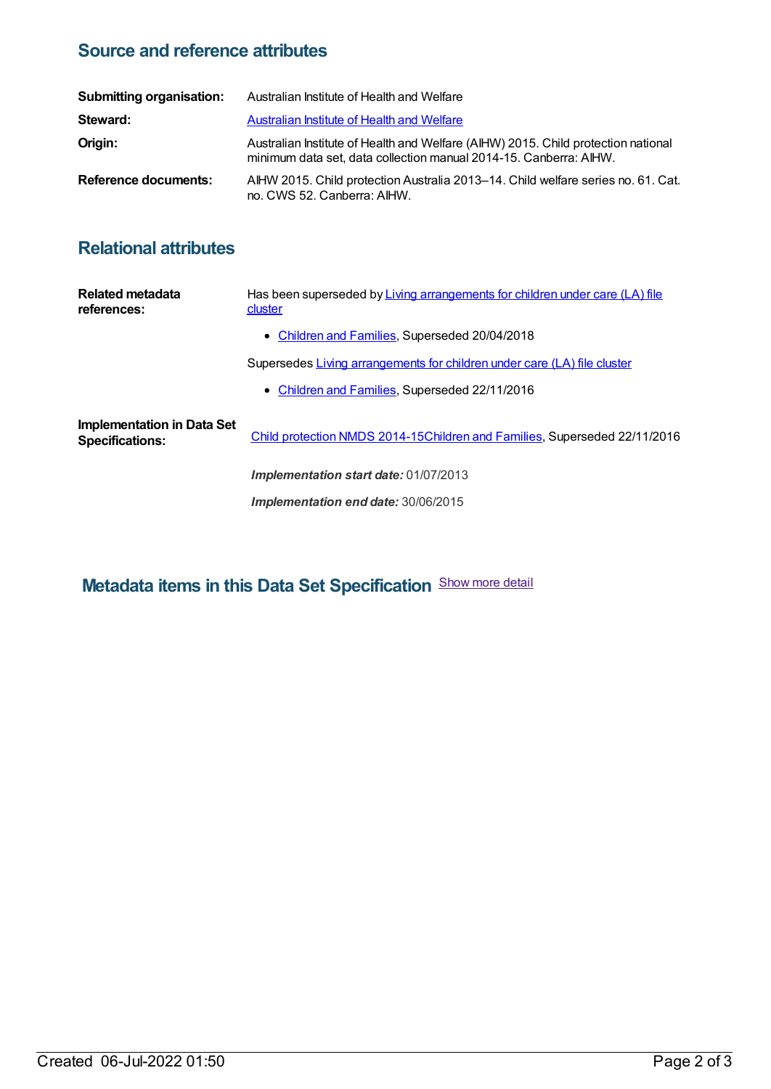#### **Source and reference attributes**

| <b>Submitting organisation:</b> | Australian Institute of Health and Welfare                                                                                                             |
|---------------------------------|--------------------------------------------------------------------------------------------------------------------------------------------------------|
| Steward:                        | <b>Australian Institute of Health and Welfare</b>                                                                                                      |
| Origin:                         | Australian Institute of Health and Welfare (AIHW) 2015. Child protection national<br>minimum data set, data collection manual 2014-15. Canberra: AIHW. |
| Reference documents:            | AIHW 2015. Child protection Australia 2013–14. Child welfare series no. 61. Cat.<br>no. CWS 52. Canberra: AIHW.                                        |

## **Relational attributes**

| Related metadata<br>references:                      | Has been superseded by Living arrangements for children under care (LA) file<br>cluster |
|------------------------------------------------------|-----------------------------------------------------------------------------------------|
|                                                      | • Children and Families, Superseded 20/04/2018                                          |
|                                                      | Supersedes Living arrangements for children under care (LA) file cluster                |
|                                                      | • Children and Families, Superseded 22/11/2016                                          |
| Implementation in Data Set<br><b>Specifications:</b> | Child protection NMDS 2014-15Children and Families, Superseded 22/11/2016               |
|                                                      | <b>Implementation start date: 01/07/2013</b>                                            |
|                                                      | Implementation end date: 30/06/2015                                                     |

**Metadata items in this Data Set Specification** Show more detail